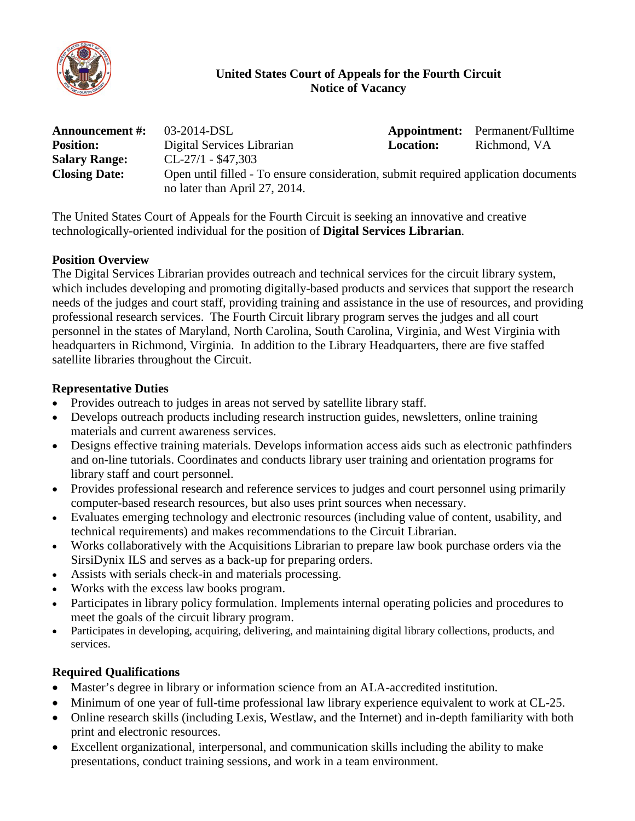

## **United States Court of Appeals for the Fourth Circuit Notice of Vacancy**

| <b>Announcement #:</b> | $03-2014$ -DSL                                                                                                      |                  | <b>Appointment:</b> Permanent/Fulltime |
|------------------------|---------------------------------------------------------------------------------------------------------------------|------------------|----------------------------------------|
| <b>Position:</b>       | Digital Services Librarian                                                                                          | <b>Location:</b> | Richmond, VA                           |
| <b>Salary Range:</b>   | $CL-27/1 - $47,303$                                                                                                 |                  |                                        |
| <b>Closing Date:</b>   | Open until filled - To ensure consideration, submit required application documents<br>no later than April 27, 2014. |                  |                                        |

The United States Court of Appeals for the Fourth Circuit is seeking an innovative and creative technologically-oriented individual for the position of **Digital Services Librarian**.

#### **Position Overview**

The Digital Services Librarian provides outreach and technical services for the circuit library system, which includes developing and promoting digitally-based products and services that support the research needs of the judges and court staff, providing training and assistance in the use of resources, and providing professional research services. The Fourth Circuit library program serves the judges and all court personnel in the states of Maryland, North Carolina, South Carolina, Virginia, and West Virginia with headquarters in Richmond, Virginia. In addition to the Library Headquarters, there are five staffed satellite libraries throughout the Circuit.

# **Representative Duties**

- Provides outreach to judges in areas not served by satellite library staff.
- Develops outreach products including research instruction guides, newsletters, online training materials and current awareness services.
- Designs effective training materials. Develops information access aids such as electronic pathfinders and on-line tutorials. Coordinates and conducts library user training and orientation programs for library staff and court personnel.
- Provides professional research and reference services to judges and court personnel using primarily computer-based research resources, but also uses print sources when necessary.
- Evaluates emerging technology and electronic resources (including value of content, usability, and technical requirements) and makes recommendations to the Circuit Librarian.
- Works collaboratively with the Acquisitions Librarian to prepare law book purchase orders via the SirsiDynix ILS and serves as a back-up for preparing orders.
- Assists with serials check-in and materials processing.
- Works with the excess law books program.
- Participates in library policy formulation. Implements internal operating policies and procedures to meet the goals of the circuit library program.
- Participates in developing, acquiring, delivering, and maintaining digital library collections, products, and services.

# **Required Qualifications**

- Master's degree in library or information science from an ALA-accredited institution.
- Minimum of one year of full-time professional law library experience equivalent to work at CL-25.
- Online research skills (including Lexis, Westlaw, and the Internet) and in-depth familiarity with both print and electronic resources.
- Excellent organizational, interpersonal, and communication skills including the ability to make presentations, conduct training sessions, and work in a team environment.